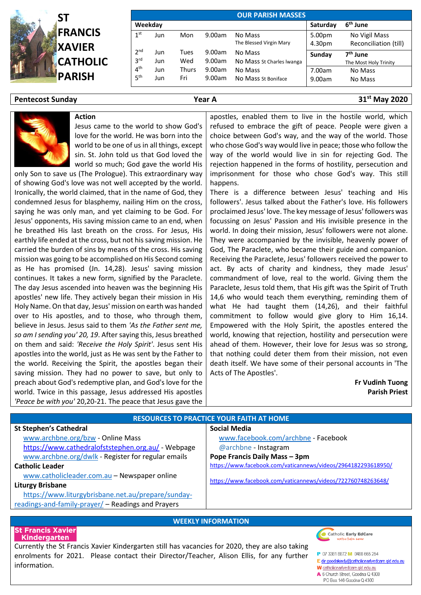

| <b>OUR PARISH MASSES</b>           |            |              |                  |                                      |                  |                                               |
|------------------------------------|------------|--------------|------------------|--------------------------------------|------------------|-----------------------------------------------|
| Weekday                            |            |              | Saturday         | 6 <sup>th</sup> June                 |                  |                                               |
| 1 <sup>st</sup>                    | Jun        | Mon          | 9.00am           | No Mass<br>The Blessed Virgin Mary   | 5.00pm<br>4.30pm | No Vigil Mass<br>Reconciliation (till)        |
| 2 <sub>nd</sub><br>3 <sup>rd</sup> | Jun<br>Jun | Tues<br>Wed  | 9.00am<br>9.00am | No Mass<br>No Mass St Charles Iwanga | Sunday           | 7 <sup>th</sup> June<br>The Most Holy Trinity |
| 4 <sup>th</sup><br>5 <sup>th</sup> | Jun<br>Jun | Thurs<br>Fri | 9.00am<br>9.00am | No Mass<br>No Mass St Boniface       | 7.00am<br>9.00am | No Mass<br>No Mass                            |

### **Pentecost Sunday Year A 31st May 2020**



only Son to save us (The Prologue). This extraordinary way of showing God's love was not well accepted by the world. Ironically, the world claimed, that in the name of God, they condemned Jesus for blasphemy, nailing Him on the cross, saying he was only man, and yet claiming to be God. For Jesus' opponents, His saving mission came to an end, when he breathed His last breath on the cross. For Jesus, His earthly life ended at the cross, but not his saving mission. He carried the burden of sins by means of the cross. His saving mission was going to be accomplished on His Second coming as He has promised (Jn. 14,28). Jesus' saving mission continues. It takes a new form, signified by the Paraclete. The day Jesus ascended into heaven was the beginning His apostles' new life. They actively began their mission in His Holy Name. On that day, Jesus' mission on earth was handed over to His apostles, and to those, who through them, believe in Jesus. Jesus said to them *'As the Father sent me, so am I sending you' 20, 19*. After saying this, Jesus breathed on them and said: *'Receive the Holy Spirit'*. Jesus sent His apostles into the world, just as He was sent by the Father to the world. Receiving the Spirit, the apostles began their saving mission. They had no power to save, but only to preach about God's redemptive plan, and God's love for the world. Twice in this passage, Jesus addressed His apostles *'Peace be with you'* 20,20-21. The peace that Jesus gave the

apostles, enabled them to live in the hostile world, which refused to embrace the gift of peace. People were given a choice between God's way, and the way of the world. Those who chose God's way would live in peace; those who follow the way of the world would live in sin for rejecting God. The rejection happened in the forms of hostility, persecution and imprisonment for those who chose God's way. This still happens.

There is a difference between Jesus' teaching and His followers'. Jesus talked about the Father's love. His followers proclaimed Jesus' love. The key message of Jesus' followers was focussing on Jesus' Passion and His invisible presence in the world. In doing their mission, Jesus' followers were not alone. They were accompanied by the invisible, heavenly power of God, The Paraclete, who became their guide and companion. Receiving the Paraclete, Jesus' followers received the power to act. By acts of charity and kindness, they made Jesus' commandment of love, real to the world. Giving them the Paraclete, Jesus told them, that His gift was the Spirit of Truth 14,6 who would teach them everything, reminding them of what He had taught them (14,26), and their faithful commitment to follow would give glory to Him 16,14. Empowered with the Holy Spirit, the apostles entered the world, knowing that rejection, hostility and persecution were ahead of them. However, their love for Jesus was so strong, that nothing could deter them from their mission, not even death itself. We have some of their personal accounts in 'The Acts of The Apostles'.

> **Fr Vudinh Tuong Parish Priest**

| <b>RESOURCES TO PRACTICE YOUR FAITH AT HOME</b>    |                                                               |  |  |  |
|----------------------------------------------------|---------------------------------------------------------------|--|--|--|
| <b>St Stephen's Cathedral</b>                      | <b>Social Media</b>                                           |  |  |  |
| www.archbne.org/bzw - Online Mass                  | www.facebook.com/archbne - Facebook                           |  |  |  |
| https://www.cathedralofststephen.org.au/ - Webpage | @archbne - Instagram                                          |  |  |  |
| www.archbne.org/dwlk - Register for regular emails | Pope Francis Daily Mass - 3pm                                 |  |  |  |
| <b>Catholic Leader</b>                             | https://www.facebook.com/vaticannews/videos/2964182293618950/ |  |  |  |
| www.catholicleader.com.au - Newspaper online       |                                                               |  |  |  |
| <b>Liturgy Brisbane</b>                            | https://www.facebook.com/vaticannews/videos/722760748263648/  |  |  |  |
| https://www.liturgybrisbane.net.au/prepare/sunday- |                                                               |  |  |  |
| readings-and-family-prayer/ - Readings and Prayers |                                                               |  |  |  |

#### **WEEKLY INFORMATION**

#### **St Francis Xavier** Kindergarten

Currently the St Francis Xavier Kindergarten still has vacancies for 2020, they are also taking enrolments for 2021. Please contact their Director/Teacher, Alison Ellis, for any further information.



- P 07 3381 8872 M 0488 665 254
- E dir.goodakindy@catholicearlyedcare.gld.edu.au

W catholicearlyedcare.gld.edu.au

A 6 Church Street, Goodna Q 4300 PO Box 146 Goodna Q 4300